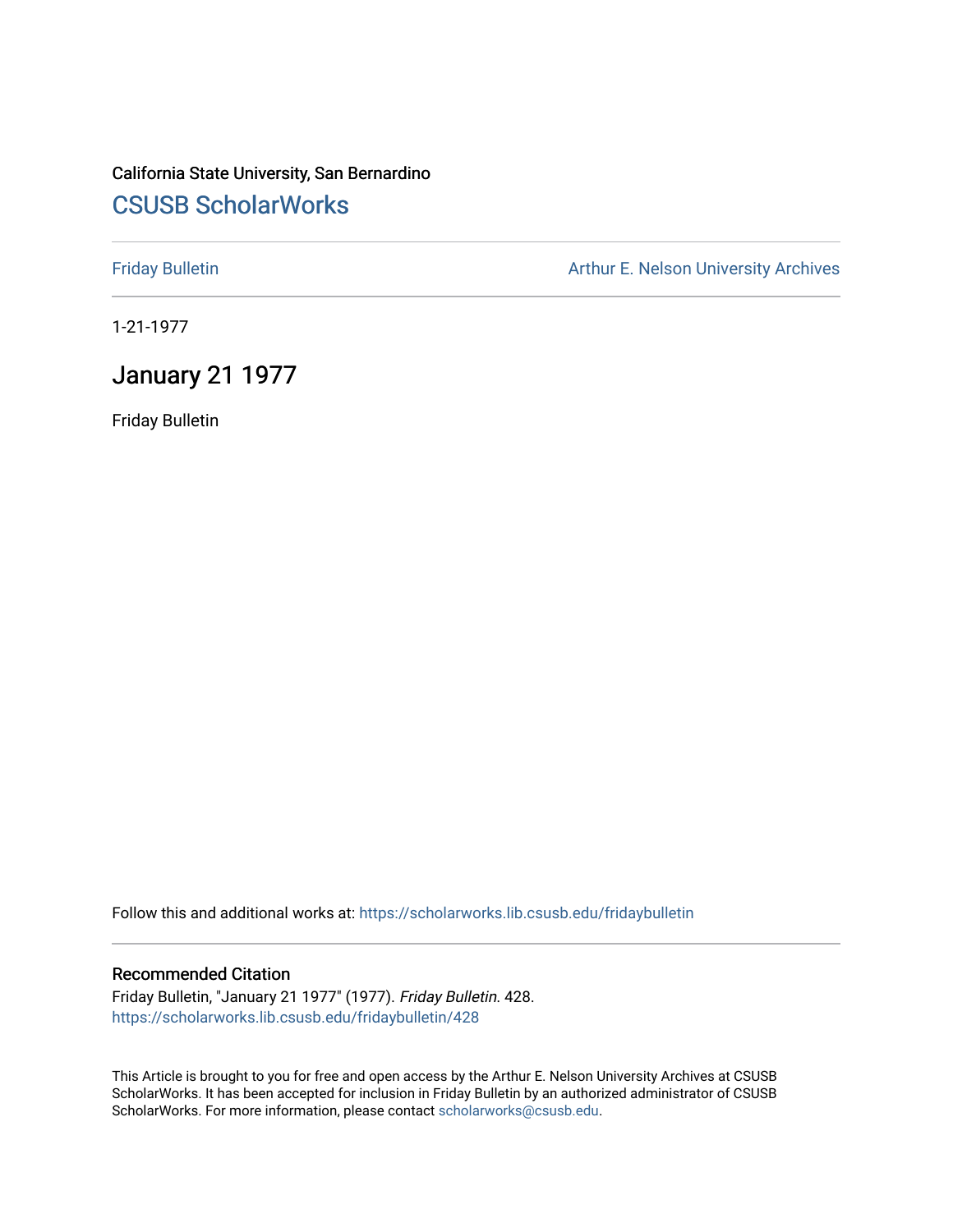# California State University, San Bernardino [CSUSB ScholarWorks](https://scholarworks.lib.csusb.edu/)

[Friday Bulletin](https://scholarworks.lib.csusb.edu/fridaybulletin) **Arthur E. Nelson University Archives** Arthur E. Nelson University Archives

1-21-1977

## January 21 1977

Friday Bulletin

Follow this and additional works at: [https://scholarworks.lib.csusb.edu/fridaybulletin](https://scholarworks.lib.csusb.edu/fridaybulletin?utm_source=scholarworks.lib.csusb.edu%2Ffridaybulletin%2F428&utm_medium=PDF&utm_campaign=PDFCoverPages)

#### Recommended Citation

Friday Bulletin, "January 21 1977" (1977). Friday Bulletin. 428. [https://scholarworks.lib.csusb.edu/fridaybulletin/428](https://scholarworks.lib.csusb.edu/fridaybulletin/428?utm_source=scholarworks.lib.csusb.edu%2Ffridaybulletin%2F428&utm_medium=PDF&utm_campaign=PDFCoverPages)

This Article is brought to you for free and open access by the Arthur E. Nelson University Archives at CSUSB ScholarWorks. It has been accepted for inclusion in Friday Bulletin by an authorized administrator of CSUSB ScholarWorks. For more information, please contact [scholarworks@csusb.edu.](mailto:scholarworks@csusb.edu)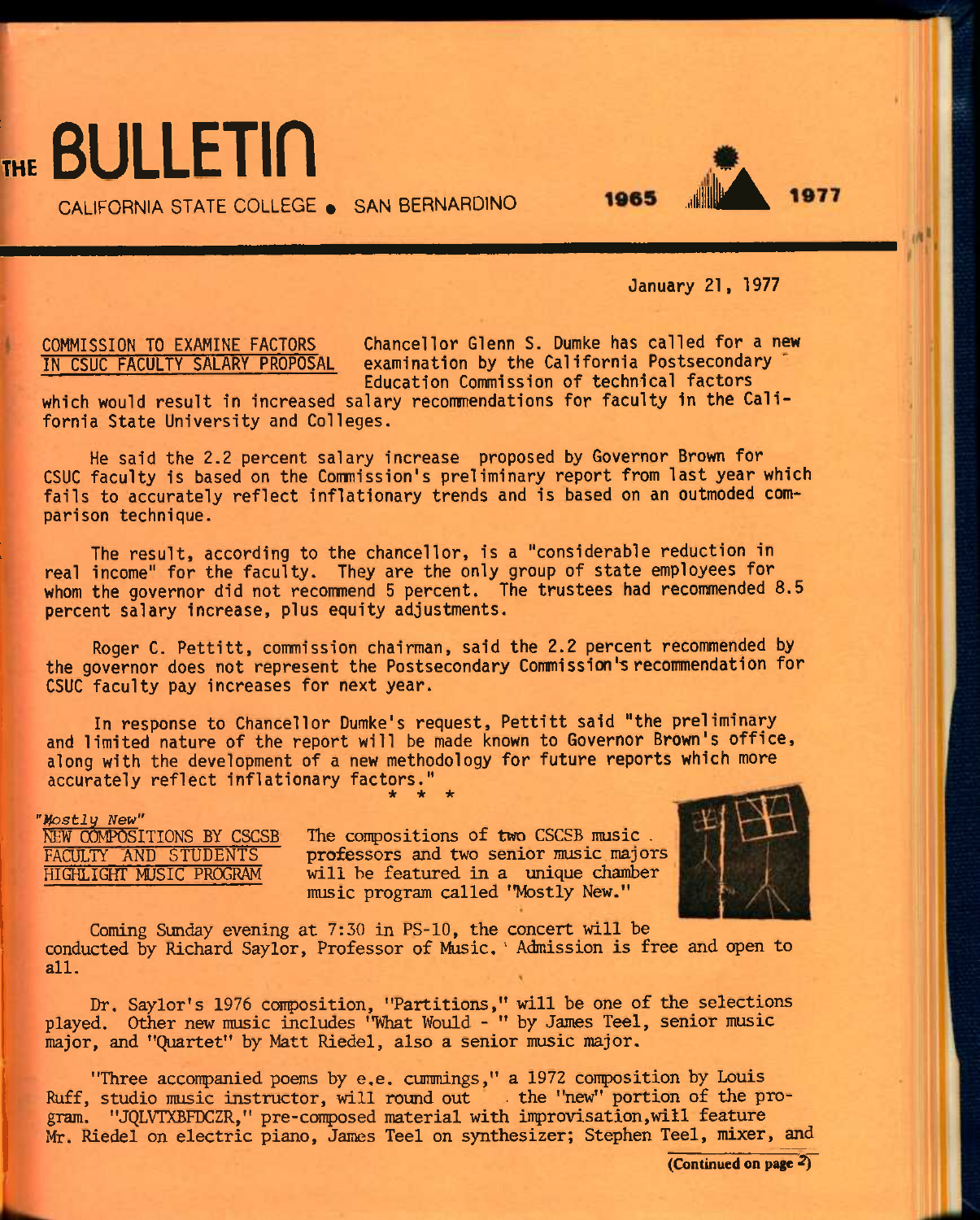

CALIFORNIA STATE COLLEGE . SAN BERNARDINO **1965** 

January 21, 1977

COMMISSION TO EXAMINE FACTORS Chancellor Glenn S. Dumke has called for a new examination by the California Postsecondary Education Commission of technical factors

which would result in increased salary recommendations for faculty in the California State University and Colleges.

He said the 2.2 percent salary increase proposed by Governor Brown for CSUC faculty is based on the Comnission's preliminary report from last year which fails to accurately reflect inflationary trends and is based on an outmoded comparison technique.

The result, according to the chancellor, is a "considerable reduction in real income" for the faculty. They are the only group of state employees for whom the governor did not recommend 5 percent. The trustees had recommended 8.5 percent salary increase, plus equity adjustments.

Roger C. Pettitt, commission chairman, said the 2.2 percent recommended by the governor does not represent the Postsecondary Commission's recommendation for CSUC faculty pay increases for next year.

In response to Chancellor Dumke's request, Pettitt said "the preliminary and limited nature of the report will be made known to Governor Brown's office, along with the development of a new methodology for future reports which more accurately reflect inflationary factors." *\* \* \** 

*Wostly New"*<br>NEW COMPOSITIONS BY CSCSB

NEW COMPOSITIONS BY CSCSB The compositions of two CSCSB music.<br>FACULTY AND STUDENTS professors and two senior music major FACULTY AND STUDENTS professors and two senior music majors<br>HIGHLIGHT MUSIC PROGRAM will be featured in a unique chamber will be featured in a unique chamber music program called "Mostly New."



Coming Sunday evening at  $7:30$  in PS-10, the concert will be conducted by Richard Saylor, Professor of Music. ' Admission is free and open to all.

Dr. Saylor's 1976 composition, "Partitions," will be one of the selections played. Other new music includes "What Would - " by James Teel, senior music major, and "Quartet" by Matt Riedel, also a senior music major.

"Three acconpanied poems by e.e. cummings," a 1972 conposition by Louis Ruff, studio music instructor, will round out . the "new" portion of the program. "JQLVTXBFDCZR," pre-composed material with improvisation,will feature Mr. Riedel on electric piano, James Teel on synthesizer; Stephen Teel, mixer, and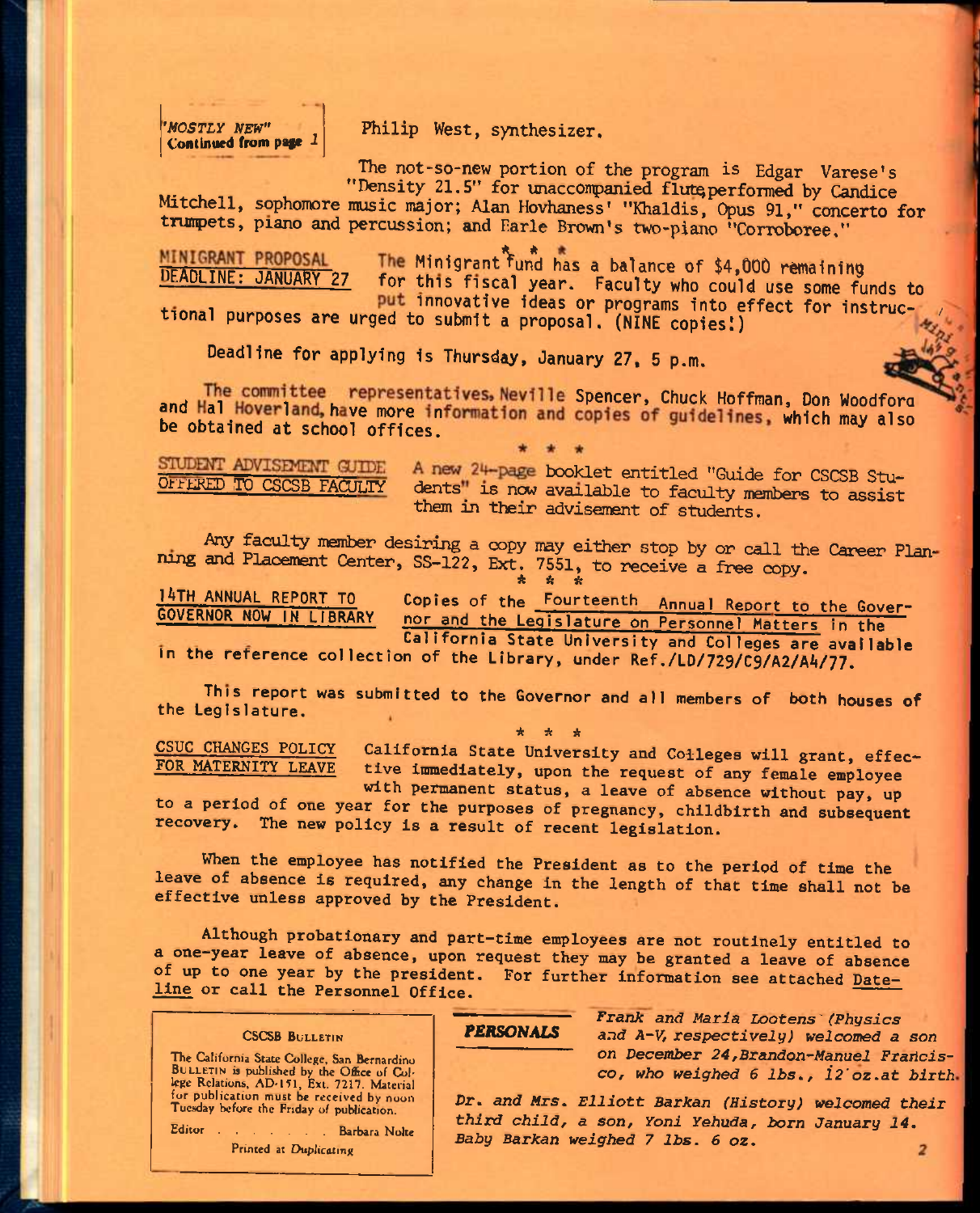*'MOSTLY NEW"* 

Philip West, synthesizer.

The not-so-new portion of the program is Edgar Varese's "Density 21.5" for unaccompanied flute performed by Candice

Mitchell, sophomore music major; Alan Hovhaness' "Khaldis, Opus 91," concerto for trumpets, piano and percussion; and Earle Brown's two-piano "Corroboree,"

MINIGRANT PROPOSAL The Minigrant fund has a balance of \$4,000 remaining

for this fiscal year. Faculty who could use some funds to

put innovative ideas or programs into effect for instructional purposes are urged to submit a proposal. (NINE copies!)

Deadline for applying is Thursday, January 27, 5 p.m.

The committee representatives, Neville Spencer, Chuck Hoffman, Don Woodford and Hal Hoverland, have more information and copies of guidelines, which may also

STUDENT ADVISEMENT GUIDE

A new 24-page booklet entitled "Guide for CSCSB Stu-OFFERED TO CSCSB FACULTY dents" is now available to faculty members to assist them in their advisement of students.

Any faculty member desiring a copy may either stop by or call the Career Planning and Placement Center, SS-122, Ext. 7551, to receive a free copy.

<sup>14</sup>TH annual report to Copies of the Fourteenth Annual Report to the Cover-GOVERNOR NOW IN LIBRARY nor and the Legislature on Personnel Matters in the California State University and Colleges are available

In the reference collection of the Library, under Ref./LD/729/C9/A2/A4/77.

This report was submitted to the Governor and all members of both houses of the Legislature.

**CSUC CHANGES POLICY FOR MATERNITY LEAVE**  \* A \* California State University and Colleges will grant, effec**tive immediately, upon the request of any female employee** 

**with permanent status, a leave of absence without pay, up to a period of one year for the purposes of pregnancy, childbirth and subsequent recovery. The new policy is a result of recent legislation.** 

**When the employee has notified the President as to the period of time the leave of absence is required, any change in the length of that time shall not be effective unless approved by the President.** 

**Although probationary and part-time employees are not routinely entitled to a one-year leave of absence, upon request they may be granted a leave of absence of up to one year by the president. For further information see attached Dateline or call the Personnel Office.** 

#### **CSCSB BULLETIN**

The California State College, San Bernardino BULLETIN is published by the Office of College Relations, AD-151, Ext. 7217. Material for publication must be received by noon Tuesday before the Friday of publication.

Editor . . . . . . Barbara Nolte Printed at Duplicating

#### *rERSONALS*

*Frank and Maria Lootens'(Physics and A-V, respectively) welcomed a son ojj December 24,Brandon-^Manuel Fraiicis-CO, who weighed 6 lbs,, i2'oz.at birth* 

*Dr, and Mrs, Elliott Barkan (History) welcomed their third child, a son, Yoni* Yehuda, Jborn January *14, Baby Barkan weighed 7 lbs. 6 oz.*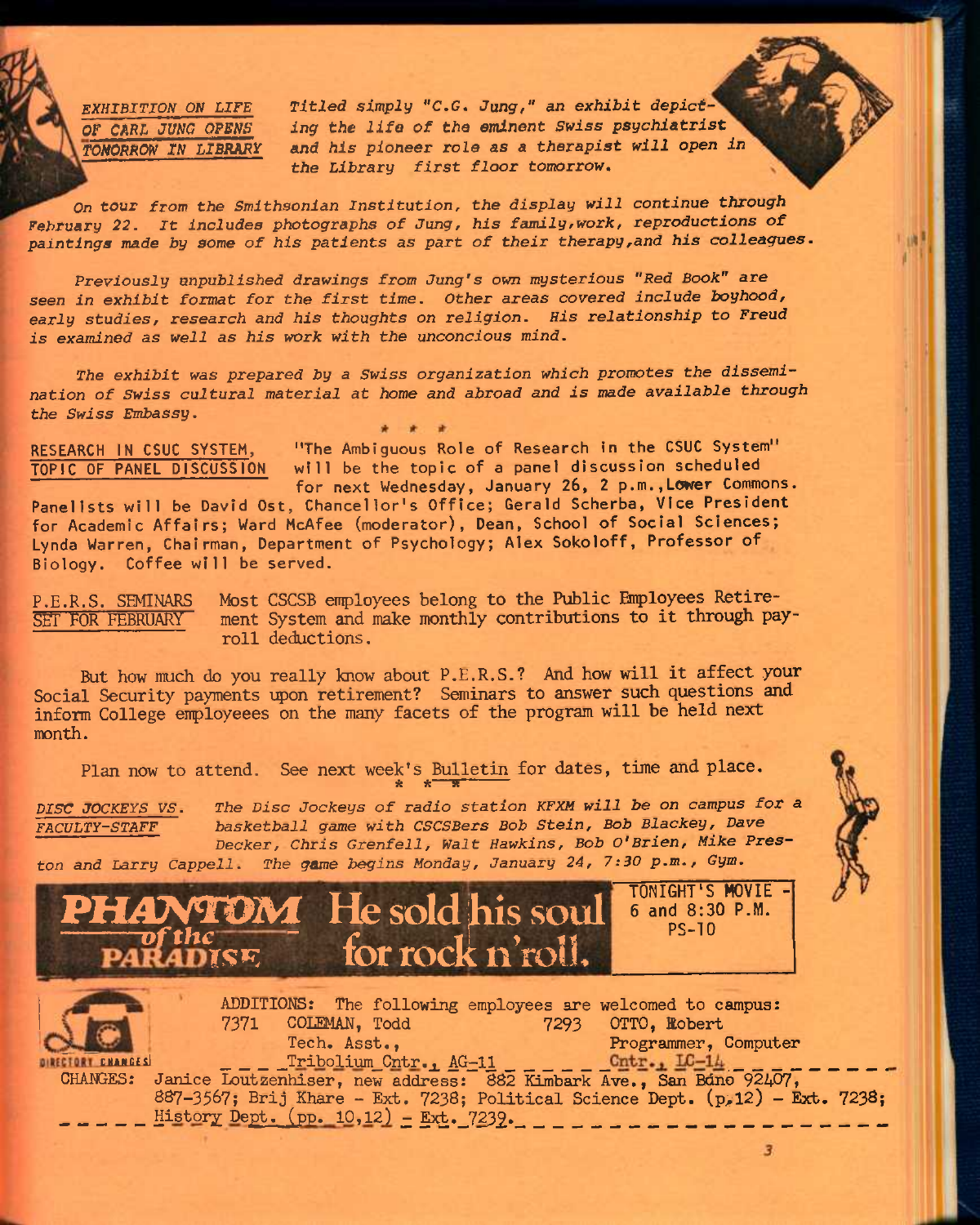*EXHIBITION ON LIFE Titled simply "C,G. Jung," an exhibit depict-*Of *CARL JUNG* OPgWg *ing the life of the eminent Swiss psychiatrist TOMORROW IN LIBRARY* and his pioneer role as a therapist will open in *the Library first floor tomorrow^* 

*On tour from the Smithsonian Institution, the display will continue through*  February 22. It includes photographs of Jung, his family, work, reproductions of *paintings made by some of his patients as part of their therapy,and his colleagues.* 

*Previously unpublished drawings from Jung's own mysterious "Red Book" are seen in exhibit format for the first time. Other areas covered include boyhood, early studies, research and his thoughts on religion. His relationship to Freud is examined* **as well as** *his work with the unconcious mind.* 

*The exhibit was prepared by a Swiss organization which promotes the dissemination of Swiss cultural material at home and abroad and is made available through the Swiss Embassy.* 

RESEARCH IN CSUC SYSTEM, TOPIC OF PANEL DISCUSSION

"The Ambiguous Role of Research in the CSUC System" will be the topic of a panel discussion scheduled for next Wednesday, January 26, 2 p.m.,Lower Commons.

Panelists will be David Ost, Chancellor's Office; Gerald Scherba, Vice President for Academic Affairs; Ward McAfee (moderator), Dean, School of Social Sciences; Lynda Warren, Chairman, Department of Psychology; Alex Sokoloff, Professor of Biology. Coffee will be served.

P.E.R.S. SEMINARS Most CSCSB employees belong to the Public Employees Retire-SET FOR FEBRUARY ment System and make monthly contributions to it through payroll deductions.

But how much do you really know about P.E.R.S.? And how will it affect your Social Security payments upon retirement? Seminars to answer such questions and inform College employeees on the many facets of the program will be held next month.

Plan now to attend. See next week's Bulletin for dates, time and place.

**i?I5C** *JOCKEYS VS. The Disc Jockeys of radio station KFXM will be on campus for a FACULTY-STAFF basketball game with CSCSBers Bob Stein, Bob Blackey, Dave Decker, Chris Grenfell, Walt Hawkins, Bob O'Brien, Mike Preston and Larry Cappell. The game begins Monday, January 24, 7:30 p.m.. Gym.* 



ADDITIONS: The following employees are welcomed to campus: T<sup>97</sup>1 COLEMAN, Todd 7293 OTTO, Robert<br>
Tech. Asst., **Programmer**, C Tech. Asst.,<br>
Tribolium\_Cntr., AG-11 \_ \_ \_ \_ \_ \_ Cntr., LG-14 \_ \_ \_ \_  $\begin{array}{cc} \texttt{cr} & \texttt{if} & \end{array}$   $\begin{array}{cc} \texttt{cr\_Tribolium}\texttt{Cntr.}, & \texttt{AG-11} \end{array}$ CHANGES: Janice Loutzenhiser, new address: 882 Kimbark Ave., San Bono 92407, 887-3567; Brij Khare - Ext. 7238; Political Science Dept. (p.12) - Ext. 7238;  $History$  Dept.  $(pp. 10, 12) - Ext. 7232$ .

3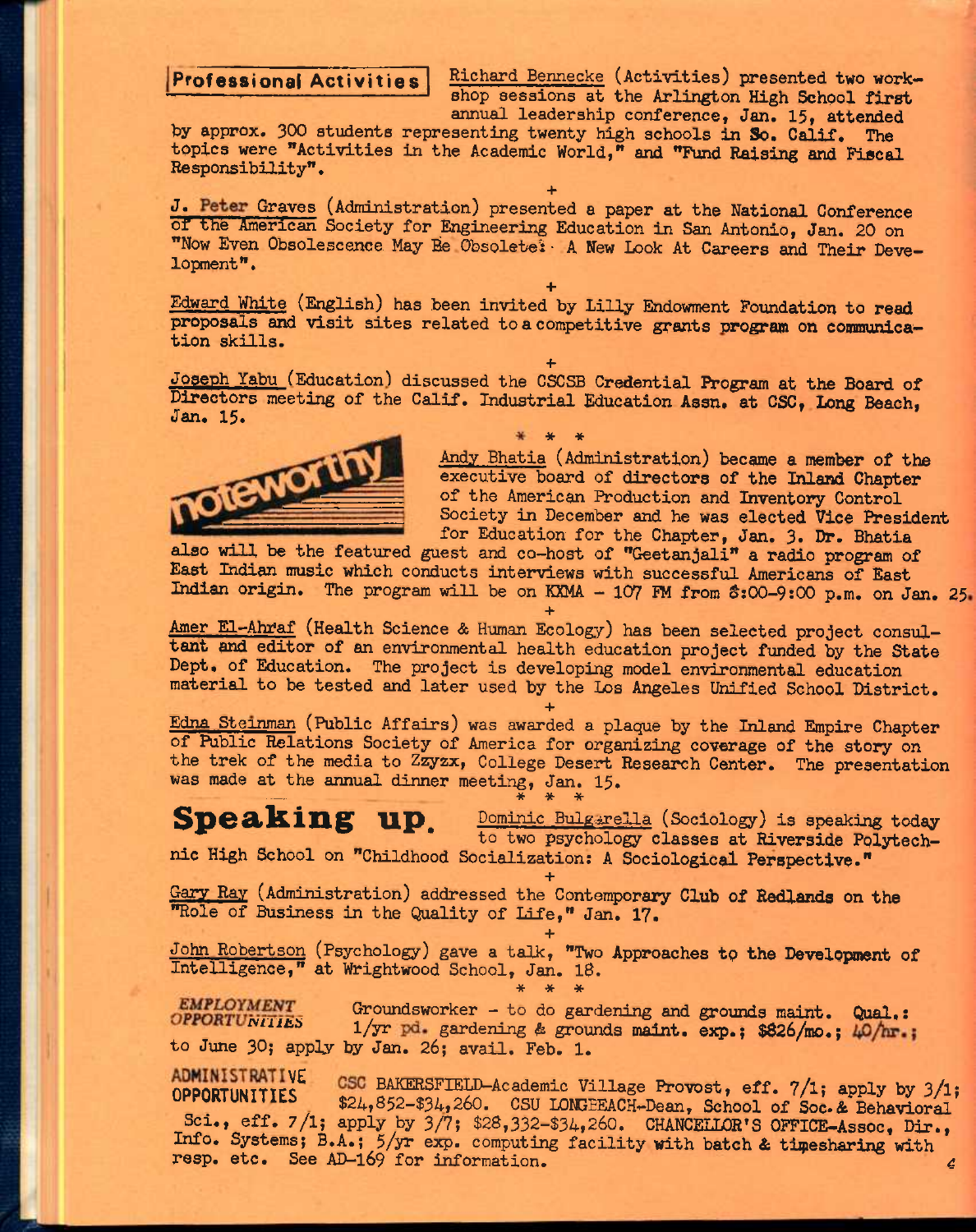Professional Activities Richard Bennecke (Activities) presented two workshop sessions at the Arlington High School first annual leadership conference, Jan. 15, attended

hy approx. 300 students representing twenty high schools in So. Calif. The topics were "Activities in the Academic World," and "Fund Raising and Fiscal Responsibility".

**+**  J. Peter Graves (Administration) presented a paper at the National Conference or the American Society for Engineering Education in San Antonio, Jan. 20 on "Now Even Obsolescence May Be Obsolete: A New Look At Careers and Their Development".

**+**  Edward White (English) has been invited by Lilly Endowment Foundation to read proposals and visit sites related to a competitive grants wogram on communication skills.

**+**  Joseph Yabu (Education) discussed the CSCSB Credential Program at the Board of Directors meeting of the Calif. Industrial Education Assn. at CSC, Long Beach, Jan. 15.



Andy Bhatia (Administration) became a member of the executive board of directors of the Inland Chapter of the American Production and Inventory Control Society in December and he was elected Vice President for Education for the Chapter, Jan. 3. Dr. Bhatia

also will be the featured guest and co—host of "Geetanjali" a radio program of East Indian music which conducts interviews with successful Americans of East Indian origin. The program will be on KXMA - 107 FM from \$:00-9:00 p.m. on Jan. 25.

**+**  Amer El—Ahfaf (Health Science & Human Ecology) has been selected project consultant and editor of an environmental health education project funded by the State Dept. of Education. The project is developing model environmental education material to be tested and later used by the Los Angeles Unified School District.

**+**  Edna Steinman (Public Affairs) was awarded a plaque by the Inland Empire Chapter of Public Relations Society of America for organizing coverage of the story on the trek of the media to Zzyzx, College Desert Research Center. The presentation was made at the annual dinner meeting, Jan. 15.

**Speaking up.** Dominic Bulgarella (Sociology) is speaking today to two psychology classes at Riverside Polytechnic High School on "Childhood Socialization; A Sociological Perspective."

**+**  Gary Ray (Administration) addressed the Contemporary Club of Redlands on the "Role of Business in the Quality of Life," Jan. 17.

**+**  John Robertson (Psychology) gave a talk, "Two Approaches to the Development of Intelligence," at Wrightwood School, Jan. 18. **\* \* \*** 

Groundsworker - to do gardening and grounds maint. Qual.: **EMPLOYMENT** Groundsworker - to do gardening and grounds maint. Qual.:<br>OPPORTUNITIES  $1/\text{yr}$  pd. gardening & grounds maint. exp.; \$826/mo.;  $\mu$ 0/hr.; to June 30; apply by Jan. 26; avail, Feb. 1.

ADMINISTRATIVE CSC BAKERSFIELD-Academic Village Provost, eff. 7/1; apply by 3/1;<br>OPPORTUNITIES 201 050 201 060 COLLIDERACIN Provost, 201 202 202 202 202 \$24,852-\$34,260. CSU LONGEEACH-Dean, School of Soc.& Behavioral Sci., eff. 7/1; apply by 3/7; \$28,332-\$34,260. CHANCELLOR'S OFFICE-Assoc, Dir., Info. Systems; B.A.; 5/yr exp. computing facility with batch & timesharing with resp. etc. See AD-169 for information. 4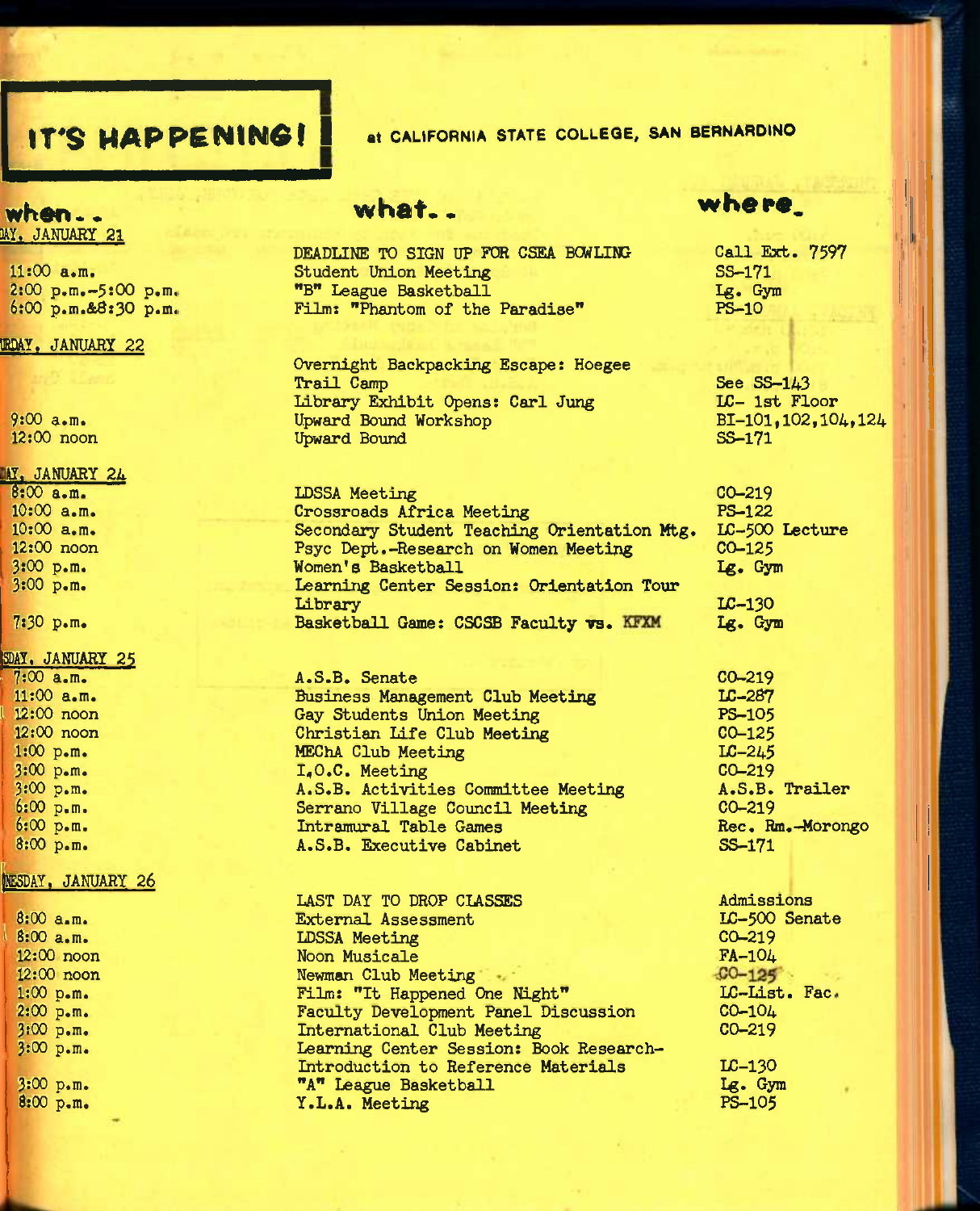# **IT'S HAPPENING!** at CALIFORNIA STATE COLLEGE, SAN BERNARDINO

### when.. MY. JANUARY 21

11:00 a«m. 2:00 p.m.-5:00 p.m, 6:00 p.m.&8:30 p.m.

#### OmY. JANUARY *22*

9:00 a.m. 12:00 noon

#### II. JANUARY *2k*

8:00 a.m. 10:00 a.m. 10:00 a.m. 12:00 noon 3:00 p.m. 3:00 p.m.

7:30 p.m.

#### SDAY, JANUARY 25

• 7:00 a.m. 11:00 a.m. 12:00 noon 12:00 noon 1:00 p.m. 3:00 p.m. 3:00 p.m. 6:00 p.m. 6:00 p.m. 8:00 p.m.

#### MESDAY, JANUARY 26

| 8:00 a.m.    | External Assessment                     | LC-500 Se  |
|--------------|-----------------------------------------|------------|
| $8:00$ a.m.  | <b>LDSSA Meeting</b>                    | $CO - 219$ |
| $12:00$ noon | Noon Musicale                           | $FA-104$   |
| $12:00$ noon | Newman Club Meeting                     | $C0 - 125$ |
| $1:00$ p.m.  | Film: "It Happened One Night"           | LC-List.   |
| 2:00 p.m.    | Faculty Development Panel Discussion    | $CO-104$   |
| 3:00 p.m.    | International Club Meeting              | $CO - 219$ |
| 3:00 p.m.    | Learning Center Session: Book Research- |            |
|              | Introduction to Reference Materials     | $LC-130$   |
| 3:00 p.m.    | "A" League Basketball                   | Lg. Gym    |
| 8:00 p.m.    | Y.L.A. Meeting                          | PS-105     |
|              |                                         |            |

# **what. •**

DEADLINE TO SIGN UP FOR CSEA BOWLING Student Union Meeting "B" League Basketball Film: "Phantom of the Paradise"

Overnight Backpacking Escape: Hoegee Trail Camp Library Exhibit Opens: Carl Jung Upward Bound Workshop Upward Bound

LDSSA Meeting Crossroads Africa Meeting Secondary Student Teaching Orientation Mtg. Psyc Dept.-Research on Women Meeting Women's Basketball Learning Center Session: Orientation Tour Library Basketball Game: CSCSB Faculty vs. KFXM

A.S.6. Senate Business Management Club Meeting Gay Students Union Meeting Christian Life Club Meeting MEChA Club Meeting 1,0.C. Meeting A.S.B. Activities Committee Meeting Serrano Village Council Meeting Intramural Table Games A.S.B. Executive Cabinet

LAST DAY TO DROP CLASSES

whera.

Call Ext. 7597 SS-171 Ig. Gym PS-10

See SS-143 LC- 1st Floor BI-101,102,104,124 SS-171

CO-219 PS-122 LC-500 Lecture  $CO - 125$ Ig. Gym

LC-130 Ig. Gym

CO-219 LC-287 PS-105 CO-125 LC-245 CO-219 A.S.B. Trailer CO-219 Rec. Rm.-Morongo SS-171

Admissions  $\begin{array}{c}\n \text{rate}\n \end{array}$ Fac .